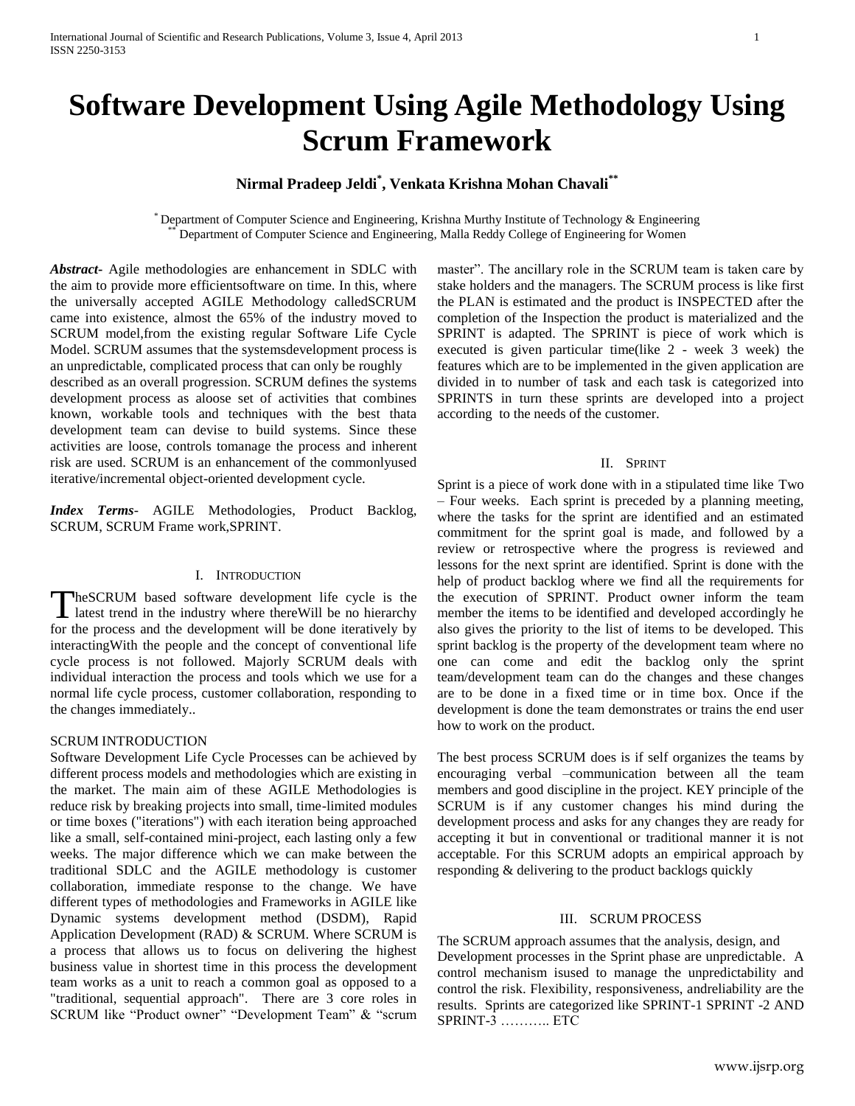# **Software Development Using Agile Methodology Using Scrum Framework**

## **Nirmal Pradeep Jeldi\* , Venkata Krishna Mohan Chavali\*\***

\* Department of Computer Science and Engineering, Krishna Murthy Institute of Technology & Engineering Department of Computer Science and Engineering, Malla Reddy College of Engineering for Women

*Abstract***-** Agile methodologies are enhancement in SDLC with the aim to provide more efficientsoftware on time. In this, where the universally accepted AGILE Methodology calledSCRUM came into existence, almost the 65% of the industry moved to SCRUM model,from the existing regular Software Life Cycle Model. SCRUM assumes that the systemsdevelopment process is an unpredictable, complicated process that can only be roughly

described as an overall progression. SCRUM defines the systems development process as aloose set of activities that combines known, workable tools and techniques with the best thata development team can devise to build systems. Since these activities are loose, controls tomanage the process and inherent risk are used. SCRUM is an enhancement of the commonlyused iterative/incremental object-oriented development cycle.

*Index Terms*- AGILE Methodologies, Product Backlog, SCRUM, SCRUM Frame work,SPRINT.

## I. INTRODUCTION

heSCRUM based software development life cycle is the TheSCRUM based software development life cycle is the latest trend in the industry where thereWill be no hierarchy for the process and the development will be done iteratively by interactingWith the people and the concept of conventional life cycle process is not followed. Majorly SCRUM deals with individual interaction the process and tools which we use for a normal life cycle process, customer collaboration, responding to the changes immediately..

## SCRUM INTRODUCTION

Software Development Life Cycle Processes can be achieved by different process models and methodologies which are existing in the market. The main aim of these AGILE Methodologies is reduce risk by breaking projects into small, time-limited modules or time boxes ("iterations") with each iteration being approached like a small, self-contained mini-project, each lasting only a few weeks. The major difference which we can make between the traditional SDLC and the AGILE methodology is customer collaboration, immediate response to the change. We have different types of methodologies and Frameworks in AGILE like Dynamic systems development method (DSDM), Rapid Application Development (RAD) & SCRUM. Where SCRUM is a process that allows us to focus on delivering the highest business value in shortest time in this process the development team works as a unit to reach a common goal as opposed to a "traditional, sequential approach". There are 3 core roles in SCRUM like "Product owner" "Development Team" & "scrum

master". The ancillary role in the SCRUM team is taken care by stake holders and the managers. The SCRUM process is like first the PLAN is estimated and the product is INSPECTED after the completion of the Inspection the product is materialized and the SPRINT is adapted. The SPRINT is piece of work which is executed is given particular time(like 2 - week 3 week) the features which are to be implemented in the given application are divided in to number of task and each task is categorized into SPRINTS in turn these sprints are developed into a project according to the needs of the customer.

#### II. SPRINT

Sprint is a piece of work done with in a stipulated time like Two – Four weeks. Each sprint is preceded by a planning meeting, where the tasks for the sprint are identified and an estimated commitment for the sprint goal is made, and followed by a review or retrospective where the progress is reviewed and lessons for the next sprint are identified. Sprint is done with the help of product backlog where we find all the requirements for the execution of SPRINT. Product owner inform the team member the items to be identified and developed accordingly he also gives the priority to the list of items to be developed. This sprint backlog is the property of the development team where no one can come and edit the backlog only the sprint team/development team can do the changes and these changes are to be done in a fixed time or in time box. Once if the development is done the team demonstrates or trains the end user how to work on the product.

The best process SCRUM does is if self organizes the teams by encouraging verbal –communication between all the team members and good discipline in the project. KEY principle of the SCRUM is if any customer changes his mind during the development process and asks for any changes they are ready for accepting it but in conventional or traditional manner it is not acceptable. For this SCRUM adopts an empirical approach by responding & delivering to the product backlogs quickly

## III. SCRUM PROCESS

The SCRUM approach assumes that the analysis, design, and Development processes in the Sprint phase are unpredictable. A control mechanism isused to manage the unpredictability and control the risk. Flexibility, responsiveness, andreliability are the results. Sprints are categorized like SPRINT-1 SPRINT -2 AND SPRINT-3 ……….. ETC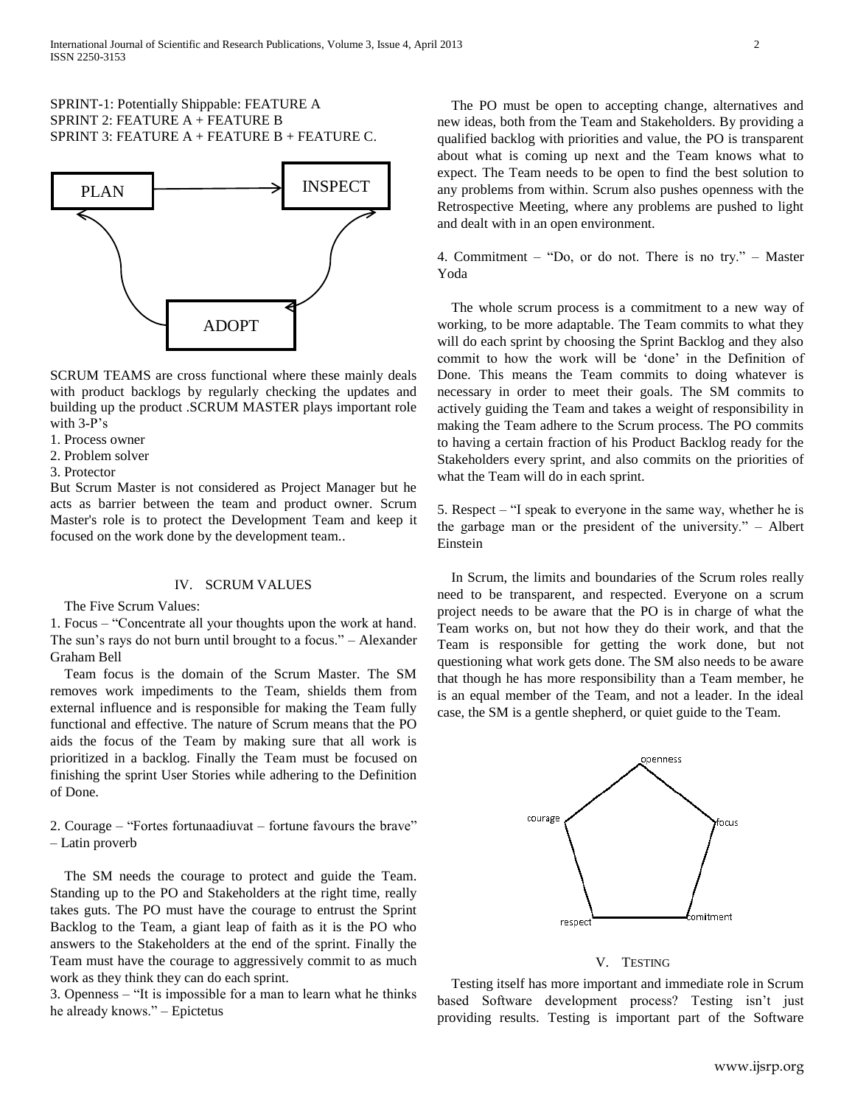## SPRINT-1: Potentially Shippable: FEATURE A SPRINT 2: FEATURE A + FEATURE B SPRINT 3: FEATURE  $A$  + FEATURE B + FEATURE C.



SCRUM TEAMS are cross functional where these mainly deals with product backlogs by regularly checking the updates and building up the product .SCRUM MASTER plays important role with  $3-P's$ 

1. Process owner

- 2. Problem solver
- 3. Protector

But Scrum Master is not considered as Project Manager but he acts as barrier between the team and product owner. Scrum Master's role is to protect the Development Team and keep it focused on the work done by the development team..

## IV. SCRUM VALUES

The Five Scrum Values:

1. Focus – "Concentrate all your thoughts upon the work at hand. The sun"s rays do not burn until brought to a focus." – Alexander Graham Bell

Team focus is the domain of the Scrum Master. The SM removes work impediments to the Team, shields them from external influence and is responsible for making the Team fully functional and effective. The nature of Scrum means that the PO aids the focus of the Team by making sure that all work is prioritized in a backlog. Finally the Team must be focused on finishing the sprint User Stories while adhering to the Definition of Done.

2. Courage – "Fortes fortunaadiuvat – fortune favours the brave" – Latin proverb

The SM needs the courage to protect and guide the Team. Standing up to the PO and Stakeholders at the right time, really takes guts. The PO must have the courage to entrust the Sprint Backlog to the Team, a giant leap of faith as it is the PO who answers to the Stakeholders at the end of the sprint. Finally the Team must have the courage to aggressively commit to as much work as they think they can do each sprint.

3. Openness – "It is impossible for a man to learn what he thinks he already knows." – Epictetus

The PO must be open to accepting change, alternatives and new ideas, both from the Team and Stakeholders. By providing a qualified backlog with priorities and value, the PO is transparent about what is coming up next and the Team knows what to expect. The Team needs to be open to find the best solution to any problems from within. Scrum also pushes openness with the Retrospective Meeting, where any problems are pushed to light and dealt with in an open environment.

4. Commitment – "Do, or do not. There is no try." – Master Yoda

The whole scrum process is a commitment to a new way of working, to be more adaptable. The Team commits to what they will do each sprint by choosing the Sprint Backlog and they also commit to how the work will be "done" in the Definition of Done. This means the Team commits to doing whatever is necessary in order to meet their goals. The SM commits to actively guiding the Team and takes a weight of responsibility in making the Team adhere to the Scrum process. The PO commits to having a certain fraction of his Product Backlog ready for the Stakeholders every sprint, and also commits on the priorities of what the Team will do in each sprint.

5. Respect – "I speak to everyone in the same way, whether he is the garbage man or the president of the university." – Albert Einstein

In Scrum, the limits and boundaries of the Scrum roles really need to be transparent, and respected. Everyone on a scrum project needs to be aware that the PO is in charge of what the Team works on, but not how they do their work, and that the Team is responsible for getting the work done, but not questioning what work gets done. The SM also needs to be aware that though he has more responsibility than a Team member, he is an equal member of the Team, and not a leader. In the ideal case, the SM is a gentle shepherd, or quiet guide to the Team.



#### V. TESTING

Testing itself has more important and immediate role in Scrum based Software development process? Testing isn"t just providing results. Testing is important part of the Software